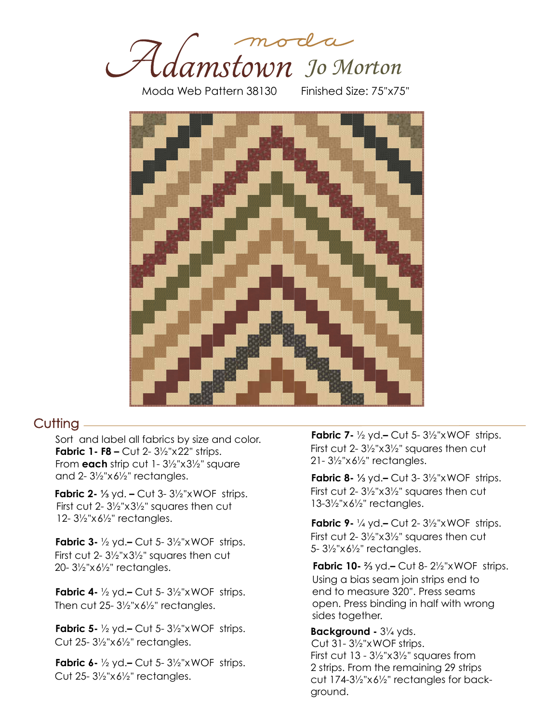

Moda Web Pattern 38130 Finished Size: 75"x75"



#### $Cutting =$

**Fabric 1- F8 – Cut 2- 3½"x22" strips.** From **each** strip cut 1- 3½"x3½" square and 2- 3½"x6½" rectangles. Sort and label all fabrics by size and color.

**Fabric 2-** ⅓ yd. **–** Cut 3- 3½"xWOF strips. First cut 2- 3½"x3½" squares then cut 12- 3½"x6½" rectangles.

**Fabric 3-** ½ yd.**–** Cut 5- 3½"xWOF strips. First cut 2- 3½"x3½" squares then cut 20- 3½"x6½" rectangles.

**Fabric 4-** ½ yd.**–** Cut 5- 3½"xWOF strips. Then cut 25- 3½"x6½" rectangles.

**Fabric 5-** ½ yd.**–** Cut 5- 3½"xWOF strips. Cut 25- 3½"x6½" rectangles.

**Fabric 6-** ½ yd.**–** Cut 5- 3½"xWOF strips. Cut 25- 3½"x6½" rectangles.

**Fabric 7-** ½ yd.**–** Cut 5- 3½"xWOF strips. First cut 2- 3½"x3½" squares then cut 21- 3½"x6½" rectangles.

**Fabric 8-** ⅓ yd.**–** Cut 3- 3½"xWOF strips. First cut 2- 3½"x3½" squares then cut 13-3½"x6½" rectangles.

**Fabric 9-** ¼ yd.**–** Cut 2- 3½"xWOF strips. First cut 2- 3½"x3½" squares then cut 5- 3½"x6½" rectangles.

**Fabric 10-** ⅔ yd.**–** Cut 8- 2½"xWOF strips. Using a bias seam join strips end to end to measure 320". Press seams open. Press binding in half with wrong sides together.

**Background -** 3¼ yds. First cut  $13 - 3\frac{1}{2}x3\frac{1}{2}y$  squares from 2 strips. From the remaining 29 strips cut 174-3½"x6½" rectangles for background. Cut 31- 3½"xWOF strips.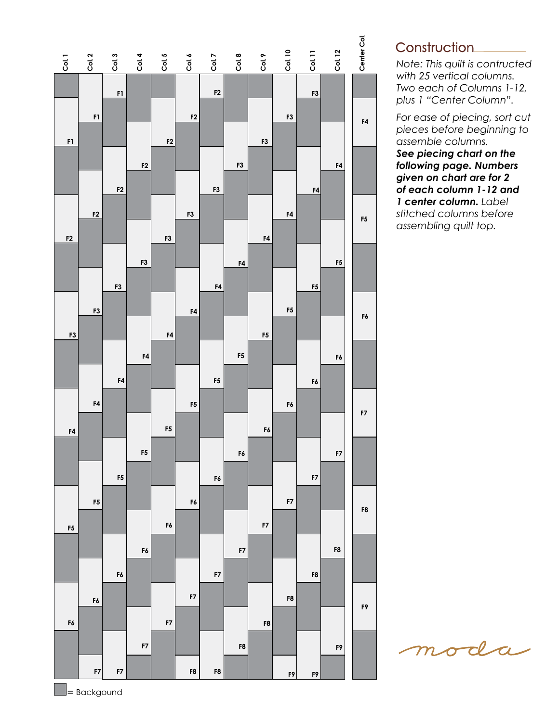

### Construction\_\_\_\_\_\_\_\_

*Note: This quilt is contructed with 25 vertical columns. Two each of Columns 1-12, plus 1 "Center Column".*

*For ease of piecing, sort cut pieces before beginning to assemble columns. See piecing chart on the following page. Numbers given on chart are for 2 of each column 1-12 and 1 center column. Label stitched columns before assembling quilt top.*

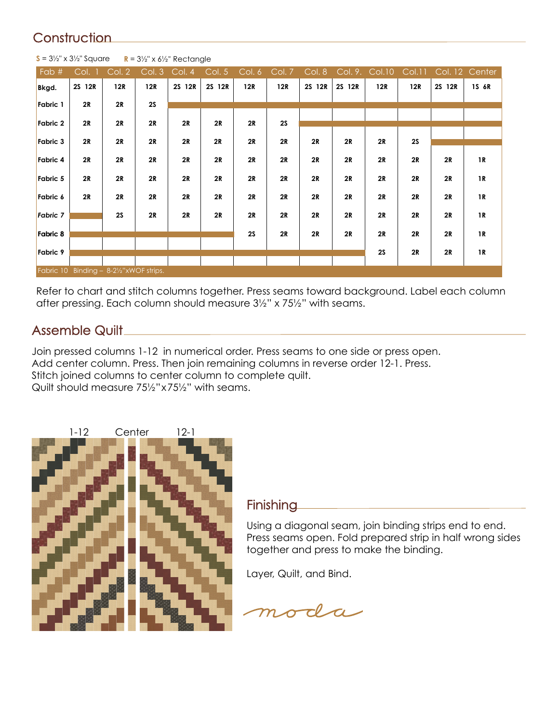# **Construction**

| Fab #                                   | Col. 1 | Col. 2 | Col. 3 | Col. 4 | $\overline{\text{Col. }5}$ | Col.6 | Col. 7 | Col. 8 | Col. 9. | <b>Col.10</b> | Col.11 |        | Col. 12 Center |
|-----------------------------------------|--------|--------|--------|--------|----------------------------|-------|--------|--------|---------|---------------|--------|--------|----------------|
| Bkgd.                                   | 2S 12R | 12R    | 12R    | 2S 12R | 2S 12R                     | 12R   | 12R    | 2S 12R | 2S 12R  | 12R           | 12R    | 2S 12R | 1S 6R          |
| Fabric 1                                | 2R     | 2R     | 2S     |        |                            |       |        |        |         |               |        |        |                |
| Fabric 2                                | 2R     | 2R     | 2R     | 2R     | 2R                         | 2R    | 2S     |        |         |               |        |        |                |
| Fabric 3                                | 2R     | 2R     | 2R     | 2R     | 2R                         | 2R    | 2R     | 2R     | 2R      | 2R            | 2S     |        |                |
| Fabric 4                                | 2R     | 2R     | 2R     | 2R     | 2R                         | 2R    | 2R     | 2R     | 2R      | 2R            | 2R     | 2R     | 1R             |
| Fabric 5                                | 2R     | 2R     | 2R     | 2R     | 2R                         | 2R    | 2R     | 2R     | 2R      | 2R            | 2R     | 2R     | 1R             |
| Fabric 6                                | 2R     | 2R     | 2R     | 2R     | 2R                         | 2R    | 2R     | 2R     | 2R      | 2R            | 2R     | 2R     | 1R             |
| Fabric 7                                |        | 2S     | 2R     | 2R     | 2R                         | 2R    | 2R     | 2R     | 2R      | 2R            | 2R     | 2R     | 1R             |
| Fabric 8                                |        |        |        |        |                            | 2S    | 2R     | 2R     | 2R      | 2R            | 2R     | 2R     | 1R             |
| Fabric 9                                |        |        |        |        |                            |       |        |        |         | 2S            | 2R     | 2R     | 1R             |
| Fabric 10 Binding - 8-21/2"xWOF strips. |        |        |        |        |                            |       |        |        |         |               |        |        |                |

**S** =  $3\frac{1}{2}$ " x  $3\frac{1}{2}$ " Square **R** =  $3\frac{1}{2}$ " x  $6\frac{1}{2}$ " Rectangle

Refer to chart and stitch columns together. Press seams toward background. Label each column after pressing. Each column should measure 3½" x 75½" with seams.

## Assemble Quilt

Join pressed columns 1-12 in numerical order. Press seams to one side or press open. Add center column. Press. Then join remaining columns in reverse order 12-1. Press. Stitch joined columns to center column to complete quilt. Quilt should measure 75½"x75½" with seams.



### **Finishing**

Using a diagonal seam, join binding strips end to end. Press seams open. Fold prepared strip in half wrong sides together and press to make the binding.

Layer, Quilt, and Bind.

moda